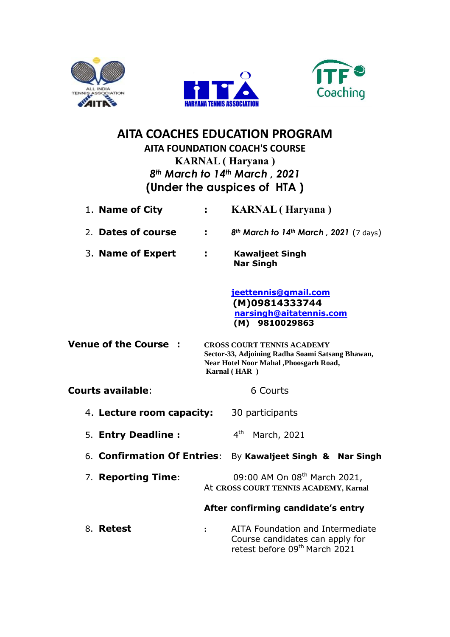





# **AITA COACHES EDUCATION PROGRAM**

# **AITA FOUNDATION COACH'S COURSE KARNAL ( Haryana )** *8th March to 14th March , 2021* **(Under the auspices of HTA )**

| 1. Name of City             | ÷.             | <b>KARNAL</b> (Haryana)                                                                                                                         |
|-----------------------------|----------------|-------------------------------------------------------------------------------------------------------------------------------------------------|
| 2. Dates of course          | ÷.             | 8th March to 14th March, 2021 (7 days)                                                                                                          |
| 3. Name of Expert           | ÷.             | <b>Kawaljeet Singh</b><br><b>Nar Singh</b>                                                                                                      |
|                             |                | jeettennis@gmail.com<br>(M)09814333744<br>narsingh@aitatennis.com<br>(M) 9810029863                                                             |
| <b>Venue of the Course</b>  |                | <b>CROSS COURT TENNIS ACADEMY</b><br>Sector-33, Adjoining Radha Soami Satsang Bhawan,<br>Near Hotel Noor Mahal, Phoosgarh Road,<br>Karnal (HAR) |
| <b>Courts available:</b>    |                | 6 Courts                                                                                                                                        |
| 4. Lecture room capacity:   |                | 30 participants                                                                                                                                 |
| 5. Entry Deadline :         |                | 4 <sup>th</sup><br>March, 2021                                                                                                                  |
| 6. Confirmation Of Entries: |                | By Kawaljeet Singh & Nar Singh                                                                                                                  |
| 7. Reporting Time:          |                | 09:00 AM On 08 <sup>th</sup> March 2021,<br>At CROSS COURT TENNIS ACADEMY, Karnal                                                               |
|                             |                | After confirming candidate's entry                                                                                                              |
| 8. Retest                   | $\ddot{\cdot}$ | AITA Foundation and Intermediate<br>Course candidates can apply for<br>retest before 09 <sup>th</sup> March 2021                                |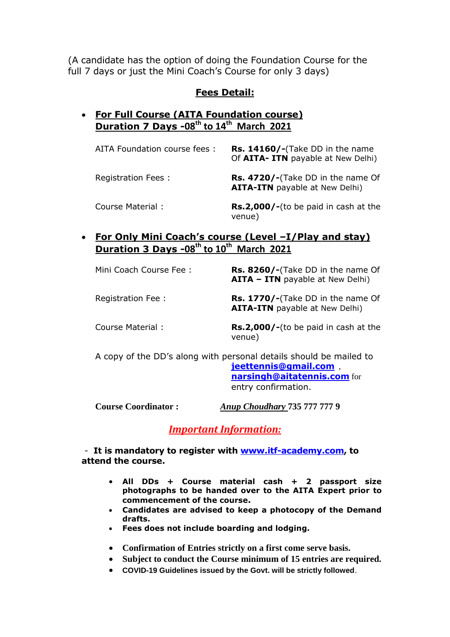(A candidate has the option of doing the Foundation Course for the full 7 days or just the Mini Coach's Course for only 3 days)

### **Fees Detail:**

## **For Full Course (AITA Foundation course) Duration 7 Days -08th to 14th March 2021**

| AITA Foundation course fees : | Rs. 14160/-(Take DD in the name<br>Of AITA- ITN payable at New Delhi)      |
|-------------------------------|----------------------------------------------------------------------------|
| Registration Fees:            | Rs. 4720/-(Take DD in the name Of<br><b>AITA-ITN</b> payable at New Delhi) |
| Course Material:              | <b>Rs.2,000/-</b> (to be paid in cash at the<br>venue)                     |

 **For Only Mini Coach's course (Level –I/Play and stay) Duration 3 Days -08th to 10th March 2021**

| Mini Coach Course Fee:                                                                                                                                    | <b>Rs. 8260/-</b> (Take DD in the name Of<br><b>AITA - ITN</b> payable at New Delhi) |
|-----------------------------------------------------------------------------------------------------------------------------------------------------------|--------------------------------------------------------------------------------------|
| Registration Fee:                                                                                                                                         | Rs. 1770/-(Take DD in the name Of<br><b>AITA-ITN</b> payable at New Delhi)           |
| Course Material:                                                                                                                                          | <b>Rs.2,000/-</b> (to be paid in cash at the<br>venue)                               |
| A copy of the DD's along with personal details should be mailed to<br><b>jeettennis@gmail.com</b> ,<br>narsingh@aitatennis.com for<br>entry confirmation. |                                                                                      |

**Course Coordinator :** *Anup Choudhary* **735 777 777 9**

*Important Information:*

- **It is mandatory to register with [www.itf-academy.com,](http://www.itf-academy.com/) to attend the course.**

- **All DDs + Course material cash + 2 passport size photographs to be handed over to the AITA Expert prior to commencement of the course.**
- **Candidates are advised to keep a photocopy of the Demand drafts.**
- **Fees does not include boarding and lodging.**
- **Confirmation of Entries strictly on a first come serve basis.**
- **Subject to conduct the Course minimum of 15 entries are required.**
- **COVID-19 Guidelines issued by the Govt. will be strictly followed**.